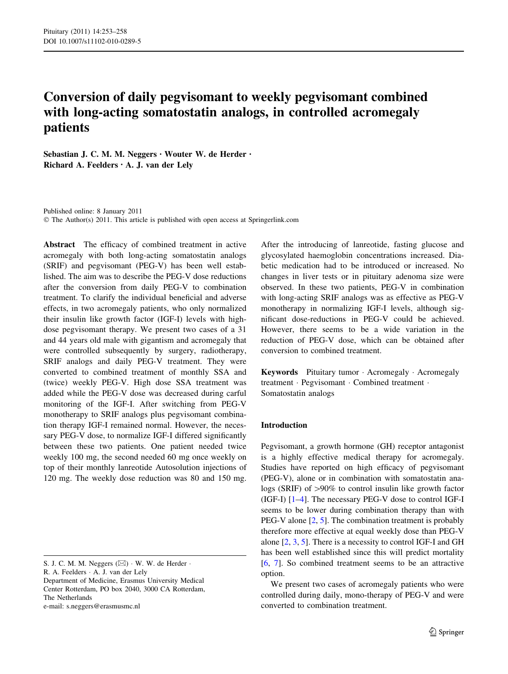# Conversion of daily pegvisomant to weekly pegvisomant combined with long-acting somatostatin analogs, in controlled acromegaly patients

Sebastian J. C. M. M. Neggers • Wouter W. de Herder • Richard A. Feelders • A. J. van der Lely

Published online: 8 January 2011 © The Author(s) 2011. This article is published with open access at Springerlink.com

Abstract The efficacy of combined treatment in active acromegaly with both long-acting somatostatin analogs (SRIF) and pegvisomant (PEG-V) has been well established. The aim was to describe the PEG-V dose reductions after the conversion from daily PEG-V to combination treatment. To clarify the individual beneficial and adverse effects, in two acromegaly patients, who only normalized their insulin like growth factor (IGF-I) levels with highdose pegvisomant therapy. We present two cases of a 31 and 44 years old male with gigantism and acromegaly that were controlled subsequently by surgery, radiotherapy, SRIF analogs and daily PEG-V treatment. They were converted to combined treatment of monthly SSA and (twice) weekly PEG-V. High dose SSA treatment was added while the PEG-V dose was decreased during carful monitoring of the IGF-I. After switching from PEG-V monotherapy to SRIF analogs plus pegvisomant combination therapy IGF-I remained normal. However, the necessary PEG-V dose, to normalize IGF-I differed significantly between these two patients. One patient needed twice weekly 100 mg, the second needed 60 mg once weekly on top of their monthly lanreotide Autosolution injections of 120 mg. The weekly dose reduction was 80 and 150 mg.

R. A. Feelders - A. J. van der Lely

Department of Medicine, Erasmus University Medical Center Rotterdam, PO box 2040, 3000 CA Rotterdam, The Netherlands e-mail: s.neggers@erasmusmc.nl

After the introducing of lanreotide, fasting glucose and glycosylated haemoglobin concentrations increased. Diabetic medication had to be introduced or increased. No changes in liver tests or in pituitary adenoma size were observed. In these two patients, PEG-V in combination with long-acting SRIF analogs was as effective as PEG-V monotherapy in normalizing IGF-I levels, although significant dose-reductions in PEG-V could be achieved. However, there seems to be a wide variation in the reduction of PEG-V dose, which can be obtained after conversion to combined treatment.

Keywords Pituitary tumor · Acromegaly · Acromegaly treatment · Pegvisomant · Combined treatment · Somatostatin analogs

# Introduction

Pegvisomant, a growth hormone (GH) receptor antagonist is a highly effective medical therapy for acromegaly. Studies have reported on high efficacy of pegvisomant (PEG-V), alone or in combination with somatostatin analogs (SRIF) of  $>90\%$  to control insulin like growth factor (IGF-I) [[1–4\]](#page-4-0). The necessary PEG-V dose to control IGF-I seems to be lower during combination therapy than with PEG-V alone  $[2, 5]$  $[2, 5]$  $[2, 5]$  $[2, 5]$ . The combination treatment is probably therefore more effective at equal weekly dose than PEG-V alone [[2,](#page-4-0) [3](#page-4-0), [5](#page-4-0)]. There is a necessity to control IGF-I and GH has been well established since this will predict mortality [\[6](#page-4-0), [7](#page-4-0)]. So combined treatment seems to be an attractive option.

We present two cases of acromegaly patients who were controlled during daily, mono-therapy of PEG-V and were converted to combination treatment.

S. J. C. M. M. Neggers  $(\boxtimes) \cdot W$ . W. de Herder  $\cdot$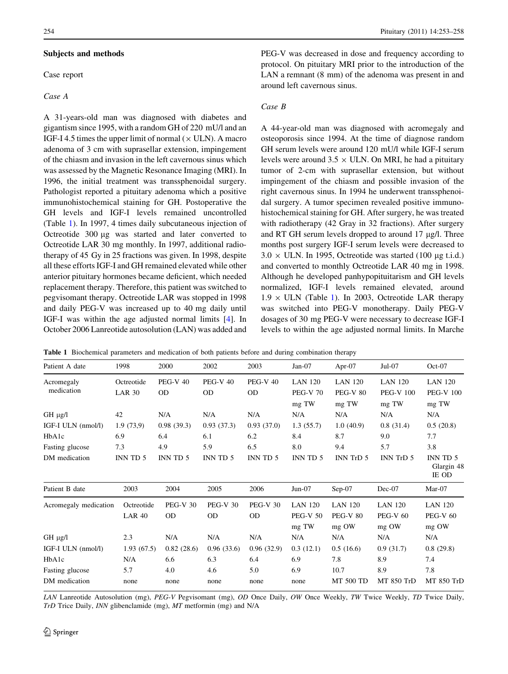## <span id="page-1-0"></span>Subjects and methods

Case report

## Case A

A 31-years-old man was diagnosed with diabetes and gigantism since 1995, with a random GH of 220 mU/l and an IGF-I 4.5 times the upper limit of normal  $(\times$  ULN). A macro adenoma of 3 cm with suprasellar extension, impingement of the chiasm and invasion in the left cavernous sinus which was assessed by the Magnetic Resonance Imaging (MRI). In 1996, the initial treatment was transsphenoidal surgery. Pathologist reported a pituitary adenoma which a positive immunohistochemical staining for GH. Postoperative the GH levels and IGF-I levels remained uncontrolled (Table 1). In 1997, 4 times daily subcutaneous injection of Octreotide 300 µg was started and later converted to Octreotide LAR 30 mg monthly. In 1997, additional radiotherapy of 45 Gy in 25 fractions was given. In 1998, despite all these efforts IGF-I and GH remained elevated while other anterior pituitary hormones became deficient, which needed replacement therapy. Therefore, this patient was switched to pegvisomant therapy. Octreotide LAR was stopped in 1998 and daily PEG-V was increased up to 40 mg daily until IGF-I was within the age adjusted normal limits [\[4](#page-4-0)]. In October 2006 Lanreotide autosolution (LAN) was added and PEG-V was decreased in dose and frequency according to protocol. On pituitary MRI prior to the introduction of the LAN a remnant (8 mm) of the adenoma was present in and around left cavernous sinus.

# Case B

A 44-year-old man was diagnosed with acromegaly and osteoporosis since 1994. At the time of diagnose random GH serum levels were around 120 mU/l while IGF-I serum levels were around  $3.5 \times$  ULN. On MRI, he had a pituitary tumor of 2-cm with suprasellar extension, but without impingement of the chiasm and possible invasion of the right cavernous sinus. In 1994 he underwent transsphenoidal surgery. A tumor specimen revealed positive immunohistochemical staining for GH. After surgery, he was treated with radiotherapy (42 Gray in 32 fractions). After surgery and RT GH serum levels dropped to around  $17 \mu g/l$ . Three months post surgery IGF-I serum levels were decreased to  $3.0 \times$  ULN. In 1995, Octreotide was started (100 µg t.i.d.) and converted to monthly Octreotide LAR 40 mg in 1998. Although he developed panhypopituitarism and GH levels normalized, IGF-I levels remained elevated, around  $1.9 \times$  ULN (Table 1). In 2003, Octreotide LAR therapy was switched into PEG-V monotherapy. Daily PEG-V dosages of 30 mg PEG-V were necessary to decrease IGF-I levels to within the age adjusted normal limits. In Marche

Table 1 Biochemical parameters and medication of both patients before and during combination therapy

| Patient A date           | 1998                        | 2000                         | 2002                         | 2003                         | $Jan-07$                                   | Apr-07                                     | $Jul-07$                                    | $Oct-07$                                    |
|--------------------------|-----------------------------|------------------------------|------------------------------|------------------------------|--------------------------------------------|--------------------------------------------|---------------------------------------------|---------------------------------------------|
| Acromegaly<br>medication | Octreotide<br><b>LAR 30</b> | <b>PEG-V 40</b><br><b>OD</b> | <b>PEG-V 40</b><br><b>OD</b> | <b>PEG-V 40</b><br><b>OD</b> | <b>LAN 120</b><br><b>PEG-V 70</b><br>mg TW | <b>LAN 120</b><br><b>PEG-V 80</b><br>mg TW | <b>LAN 120</b><br><b>PEG-V 100</b><br>mg TW | <b>LAN 120</b><br><b>PEG-V 100</b><br>mg TW |
| $GH \mu g/l$             | 42                          | N/A                          | N/A                          | N/A                          | N/A                                        | N/A                                        | N/A                                         | N/A                                         |
| IGF-I ULN (nmol/l)       | 1.9(73,9)                   | 0.98(39.3)                   | 0.93(37.3)                   | 0.93(37.0)                   | 1.3(55.7)                                  | 1.0(40.9)                                  | 0.8(31.4)                                   | 0.5(20.8)                                   |
| HbA1c                    | 6.9                         | 6.4                          | 6.1                          | 6.2                          | 8.4                                        | 8.7                                        | 9.0                                         | 7.7                                         |
| Fasting glucose          | 7.3                         | 4.9                          | 5.9                          | 6.5                          | 8.0                                        | 9.4                                        | 5.7                                         | 3.8                                         |
| DM medication            | INN TD 5                    | INN TD 5                     | INN TD 5                     | INN TD 5                     | INN TD 5                                   | INN TrD 5                                  | INN TrD 5                                   | INN TD 5<br>Glargin 48<br>IE OD             |
| Patient B date           | 2003                        | 2004                         | 2005                         | 2006                         | $Jun-07$                                   | $Sep-07$                                   | Dec-07                                      | $Mar-07$                                    |
| Acromegaly medication    | Octreotide<br><b>LAR 40</b> | <b>PEG-V 30</b><br><b>OD</b> | <b>PEG-V 30</b><br>0D        | <b>PEG-V 30</b><br><b>OD</b> | <b>LAN 120</b><br><b>PEG-V 50</b><br>mg TW | <b>LAN 120</b><br><b>PEG-V 80</b><br>mg OW | <b>LAN 120</b><br><b>PEG-V 60</b><br>mg OW  | <b>LAN 120</b><br><b>PEG-V 60</b><br>mg OW  |
| $GH \mu g/l$             | 2.3                         | N/A                          | N/A                          | N/A                          | N/A                                        | N/A                                        | N/A                                         | N/A                                         |
| IGF-I ULN (nmol/l)       | 1.93(67.5)                  | 0.82(28.6)                   | 0.96(33.6)                   | 0.96(32.9)                   | 0.3(12.1)                                  | 0.5(16.6)                                  | 0.9(31.7)                                   | 0.8(29.8)                                   |
| HbA1c                    | N/A                         | 6.6                          | 6.3                          | 6.4                          | 6.9                                        | 7.8                                        | 8.9                                         | 7.4                                         |
| Fasting glucose          | 5.7                         | 4.0                          | 4.6                          | 5.0                          | 6.9                                        | 10.7                                       | 8.9                                         | 7.8                                         |
| DM medication            | none                        | none                         | none                         | none                         | none                                       | <b>MT 500 TD</b>                           | MT 850 TrD                                  | MT 850 TrD                                  |

LAN Lanreotide Autosolution (mg), PEG-V Pegvisomant (mg), OD Once Daily, OW Once Weekly, TW Twice Weekly, TD Twice Daily, TrD Trice Daily, INN glibenclamide (mg), MT metformin (mg) and N/A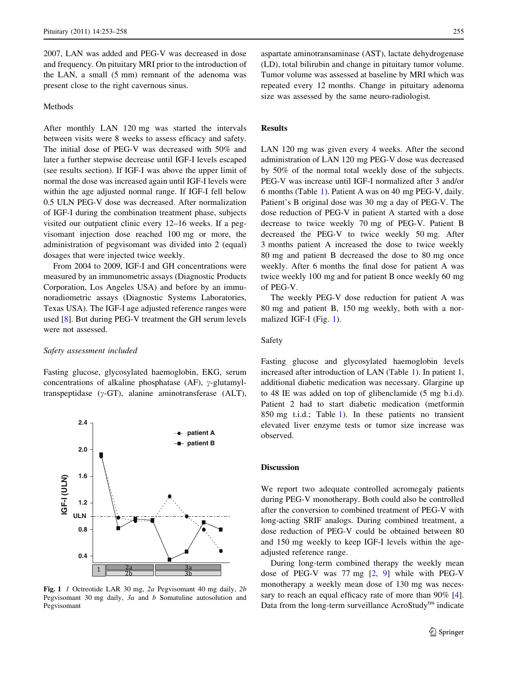2007, LAN was added and PEG-V was decreased in dose and frequency. On pituitary MRI prior to the introduction of the LAN, a small (5 mm) remnant of the adenoma was present close to the right cavernous sinus.

# Methods

After monthly LAN 120 mg was started the intervals between visits were 8 weeks to assess efficacy and safety. The initial dose of PEG-V was decreased with 50% and later a further stepwise decrease until IGF-I levels escaped (see results section). If IGF-I was above the upper limit of normal the dose was increased again until IGF-I levels were within the age adjusted normal range. If IGF-I fell below 0.5 ULN PEG-V dose was decreased. After normalization of IGF-I during the combination treatment phase, subjects visited our outpatient clinic every 12–16 weeks. If a pegvisomant injection dose reached 100 mg or more, the administration of pegvisomant was divided into 2 (equal) dosages that were injected twice weekly.

From 2004 to 2009, IGF-I and GH concentrations were measured by an immunometric assays (Diagnostic Products Corporation, Los Angeles USA) and before by an immunoradiometric assays (Diagnostic Systems Laboratories, Texas USA). The IGF-I age adjusted reference ranges were used [\[8](#page-4-0)]. But during PEG-V treatment the GH serum levels were not assessed.

#### Safety assessment included

Fasting glucose, glycosylated haemoglobin, EKG, serum concentrations of alkaline phosphatase (AF),  $\gamma$ -glutamyltranspeptidase  $(\gamma$ -GT), alanine aminotransferase (ALT),



Fig. 1 1 Octreotide LAR 30 mg, 2a Pegvisomant 40 mg daily, 2b Pegvisomant 30 mg daily, 3a and b Somatuline autosolution and Pegvisomant

aspartate aminotransaminase (AST), lactate dehydrogenase (LD), total bilirubin and change in pituitary tumor volume. Tumor volume was assessed at baseline by MRI which was repeated every 12 months. Change in pituitary adenoma size was assessed by the same neuro-radiologist.

# **Results**

LAN 120 mg was given every 4 weeks. After the second administration of LAN 120 mg PEG-V dose was decreased by 50% of the normal total weekly dose of the subjects. PEG-V was increase until IGF-I normalized after 3 and/or 6 months (Table [1\)](#page-1-0). Patient A was on 40 mg PEG-V, daily. Patient's B original dose was 30 mg a day of PEG-V. The dose reduction of PEG-V in patient A started with a dose decrease to twice weekly 70 mg of PEG-V. Patient B decreased the PEG-V to twice weekly 50 mg. After 3 months patient A increased the dose to twice weekly 80 mg and patient B decreased the dose to 80 mg once weekly. After 6 months the final dose for patient A was twice weekly 100 mg and for patient B once weekly 60 mg of PEG-V.

The weekly PEG-V dose reduction for patient A was 80 mg and patient B, 150 mg weekly, both with a normalized IGF-I (Fig. 1).

# Safety

Fasting glucose and glycosylated haemoglobin levels increased after introduction of LAN (Table [1\)](#page-1-0). In patient 1, additional diabetic medication was necessary. Glargine up to 48 IE was added on top of glibenclamide (5 mg b.i.d). Patient 2 had to start diabetic medication (metformin 850 mg t.i.d.; Table [1](#page-1-0)). In these patients no transient elevated liver enzyme tests or tumor size increase was observed.

## Discussion

We report two adequate controlled acromegaly patients during PEG-V monotherapy. Both could also be controlled after the conversion to combined treatment of PEG-V with long-acting SRIF analogs. During combined treatment, a dose reduction of PEG-V could be obtained between 80 and 150 mg weekly to keep IGF-I levels within the ageadjusted reference range.

During long-term combined therapy the weekly mean dose of PEG-V was 77 mg [[2,](#page-4-0) [9](#page-4-0)] while with PEG-V monotherapy a weekly mean dose of 130 mg was neces-sary to reach an equal efficacy rate of more than 90% [\[4](#page-4-0)]. Data from the long-term surveillance AcroStudy<sup>tm</sup> indicate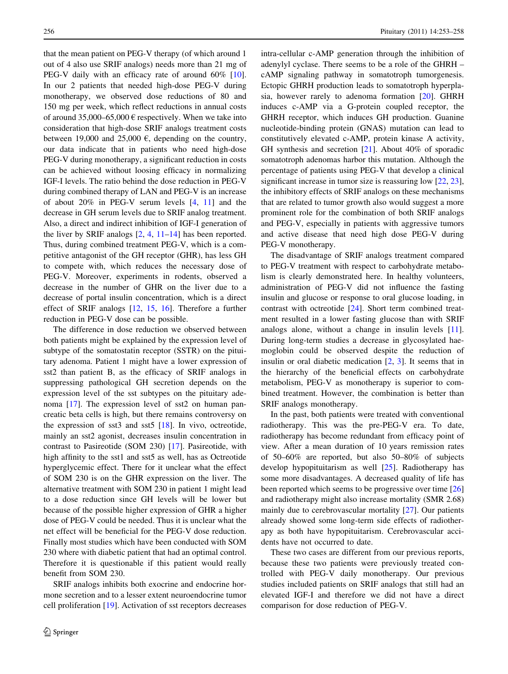that the mean patient on PEG-V therapy (of which around 1 out of 4 also use SRIF analogs) needs more than 21 mg of PEG-V daily with an efficacy rate of around 60% [\[10](#page-4-0)]. In our 2 patients that needed high-dose PEG-V during monotherapy, we observed dose reductions of 80 and 150 mg per week, which reflect reductions in annual costs of around 35,000–65,000  $\epsilon$  respectively. When we take into consideration that high-dose SRIF analogs treatment costs between 19,000 and 25,000  $\epsilon$ , depending on the country, our data indicate that in patients who need high-dose PEG-V during monotherapy, a significant reduction in costs can be achieved without loosing efficacy in normalizing IGF-I levels. The ratio behind the dose reduction in PEG-V during combined therapy of LAN and PEG-V is an increase of about 20% in PEG-V serum levels [[4,](#page-4-0) [11](#page-4-0)] and the decrease in GH serum levels due to SRIF analog treatment. Also, a direct and indirect inhibition of IGF-I generation of the liver by SRIF analogs [\[2](#page-4-0), [4,](#page-4-0) [11–14](#page-4-0)] has been reported. Thus, during combined treatment PEG-V, which is a competitive antagonist of the GH receptor (GHR), has less GH to compete with, which reduces the necessary dose of PEG-V. Moreover, experiments in rodents, observed a decrease in the number of GHR on the liver due to a decrease of portal insulin concentration, which is a direct effect of SRIF analogs [[12,](#page-4-0) [15,](#page-4-0) [16\]](#page-4-0). Therefore a further reduction in PEG-V dose can be possible.

The difference in dose reduction we observed between both patients might be explained by the expression level of subtype of the somatostatin receptor (SSTR) on the pituitary adenoma. Patient 1 might have a lower expression of sst2 than patient B, as the efficacy of SRIF analogs in suppressing pathological GH secretion depends on the expression level of the sst subtypes on the pituitary adenoma [\[17](#page-4-0)]. The expression level of sst2 on human pancreatic beta cells is high, but there remains controversy on the expression of sst3 and sst5 [\[18](#page-4-0)]. In vivo, octreotide, mainly an sst2 agonist, decreases insulin concentration in contrast to Pasireotide (SOM 230) [[17\]](#page-4-0). Pasireotide, with high affinity to the sst1 and sst5 as well, has as Octreotide hyperglycemic effect. There for it unclear what the effect of SOM 230 is on the GHR expression on the liver. The alternative treatment with SOM 230 in patient 1 might lead to a dose reduction since GH levels will be lower but because of the possible higher expression of GHR a higher dose of PEG-V could be needed. Thus it is unclear what the net effect will be beneficial for the PEG-V dose reduction. Finally most studies which have been conducted with SOM 230 where with diabetic patient that had an optimal control. Therefore it is questionable if this patient would really benefit from SOM 230.

SRIF analogs inhibits both exocrine and endocrine hormone secretion and to a lesser extent neuroendocrine tumor cell proliferation [\[19](#page-4-0)]. Activation of sst receptors decreases intra-cellular c-AMP generation through the inhibition of adenylyl cyclase. There seems to be a role of the GHRH – cAMP signaling pathway in somatotroph tumorgenesis. Ectopic GHRH production leads to somatotroph hyperplasia, however rarely to adenoma formation [\[20](#page-4-0)]. GHRH induces c-AMP via a G-protein coupled receptor, the GHRH receptor, which induces GH production. Guanine nucleotide-binding protein (GNAS) mutation can lead to constitutively elevated c-AMP, protein kinase A activity, GH synthesis and secretion [[21\]](#page-4-0). About 40% of sporadic somatotroph adenomas harbor this mutation. Although the percentage of patients using PEG-V that develop a clinical significant increase in tumor size is reassuring low  $[22, 23]$  $[22, 23]$  $[22, 23]$  $[22, 23]$  $[22, 23]$ , the inhibitory effects of SRIF analogs on these mechanisms that are related to tumor growth also would suggest a more prominent role for the combination of both SRIF analogs and PEG-V, especially in patients with aggressive tumors and active disease that need high dose PEG-V during PEG-V monotherapy.

The disadvantage of SRIF analogs treatment compared to PEG-V treatment with respect to carbohydrate metabolism is clearly demonstrated here. In healthy volunteers, administration of PEG-V did not influence the fasting insulin and glucose or response to oral glucose loading, in contrast with octreotide [\[24](#page-4-0)]. Short term combined treatment resulted in a lower fasting glucose than with SRIF analogs alone, without a change in insulin levels [\[11](#page-4-0)]. During long-term studies a decrease in glycosylated haemoglobin could be observed despite the reduction of insulin or oral diabetic medication [[2,](#page-4-0) [3\]](#page-4-0). It seems that in the hierarchy of the beneficial effects on carbohydrate metabolism, PEG-V as monotherapy is superior to combined treatment. However, the combination is better than SRIF analogs monotherapy.

In the past, both patients were treated with conventional radiotherapy. This was the pre-PEG-V era. To date, radiotherapy has become redundant from efficacy point of view. After a mean duration of 10 years remission rates of 50–60% are reported, but also 50–80% of subjects develop hypopituitarism as well [[25\]](#page-5-0). Radiotherapy has some more disadvantages. A decreased quality of life has been reported which seems to be progressive over time [[26\]](#page-5-0) and radiotherapy might also increase mortality (SMR 2.68) mainly due to cerebrovascular mortality [\[27](#page-5-0)]. Our patients already showed some long-term side effects of radiotherapy as both have hypopituitarism. Cerebrovascular accidents have not occurred to date.

These two cases are different from our previous reports, because these two patients were previously treated controlled with PEG-V daily monotherapy. Our previous studies included patients on SRIF analogs that still had an elevated IGF-I and therefore we did not have a direct comparison for dose reduction of PEG-V.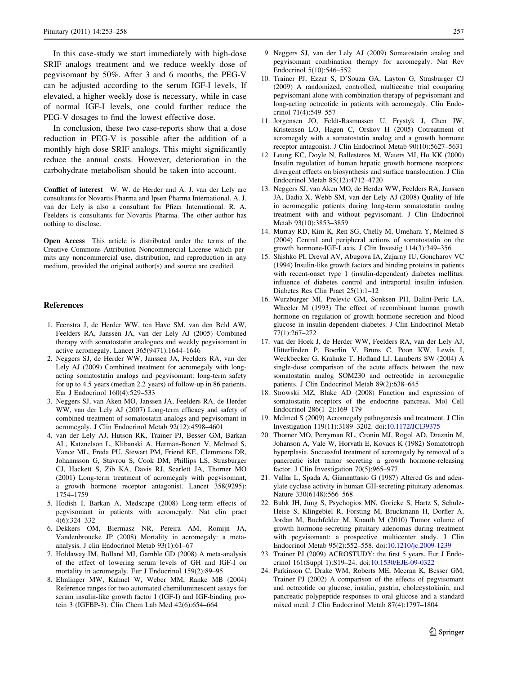<span id="page-4-0"></span>In this case-study we start immediately with high-dose SRIF analogs treatment and we reduce weekly dose of pegvisomant by 50%. After 3 and 6 months, the PEG-V can be adjusted according to the serum IGF-I levels, If elevated, a higher weekly dose is necessary, while in case of normal IGF-I levels, one could further reduce the PEG-V dosages to find the lowest effective dose.

In conclusion, these two case-reports show that a dose reduction in PEG-V is possible after the addition of a monthly high dose SRIF analogs. This might significantly reduce the annual costs. However, deterioration in the carbohydrate metabolism should be taken into account.

Conflict of interest W. W. de Herder and A. J. van der Lely are consultants for Novartis Pharma and Ipsen Pharma International. A. J. van der Lely is also a consultant for Pfizer International. R. A. Feelders is consultants for Novartis Pharma. The other author has nothing to disclose.

Open Access This article is distributed under the terms of the Creative Commons Attribution Noncommercial License which permits any noncommercial use, distribution, and reproduction in any medium, provided the original author(s) and source are credited.

## References

- 1. Feenstra J, de Herder WW, ten Have SM, van den Beld AW, Feelders RA, Janssen JA, van der Lely AJ (2005) Combined therapy with somatostatin analogues and weekly pegvisomant in active acromegaly. Lancet 365(9471):1644–1646
- 2. Neggers SJ, de Herder WW, Janssen JA, Feelders RA, van der Lely AJ (2009) Combined treatment for acromegaly with longacting somatostatin analogs and pegvisomant: long-term safety for up to 4.5 years (median 2.2 years) of follow-up in 86 patients. Eur J Endocrinol 160(4):529–533
- 3. Neggers SJ, van Aken MO, Janssen JA, Feelders RA, de Herder WW, van der Lely AJ (2007) Long-term efficacy and safety of combined treatment of somatostatin analogs and pegvisomant in acromegaly. J Clin Endocrinol Metab 92(12):4598–4601
- 4. van der Lely AJ, Hutson RK, Trainer PJ, Besser GM, Barkan AL, Katznelson L, Klibanski A, Herman-Bonert V, Melmed S, Vance ML, Freda PU, Stewart PM, Friend KE, Clemmons DR, Johannsson G, Stavrou S, Cook DM, Phillips LS, Strasburger CJ, Hackett S, Zib KA, Davis RJ, Scarlett JA, Thorner MO (2001) Long-term treatment of acromegaly with pegvisomant, a growth hormone receptor antagonist. Lancet 358(9295): 1754–1759
- 5. Hodish I, Barkan A, Medscape (2008) Long-term effects of pegvisomant in patients with acromegaly. Nat clin pract 4(6):324–332
- 6. Dekkers OM, Biermasz NR, Pereira AM, Romijn JA, Vandenbroucke JP (2008) Mortality in acromegaly: a metaanalysis. J clin Endocrinol Metab 93(1):61–67
- 7. Holdaway IM, Bolland MJ, Gamble GD (2008) A meta-analysis of the effect of lowering serum levels of GH and IGF-I on mortality in acromegaly. Eur J Endocrinol 159(2):89–95
- 8. Elmlinger MW, Kuhnel W, Weber MM, Ranke MB (2004) Reference ranges for two automated chemiluminescent assays for serum insulin-like growth factor I (IGF-I) and IGF-binding protein 3 (IGFBP-3). Clin Chem Lab Med 42(6):654–664
- 9. Neggers SJ, van der Lely AJ (2009) Somatostatin analog and pegvisomant combination therapy for acromegaly. Nat Rev Endocrinol 5(10):546–552
- 10. Trainer PJ, Ezzat S, D'Souza GA, Layton G, Strasburger CJ (2009) A randomized, controlled, multicentre trial comparing pegvisomant alone with combination therapy of pegvisomant and long-acting octreotide in patients with acromegaly. Clin Endocrinol 71(4):549–557
- 11. Jorgensen JO, Feldt-Rasmussen U, Frystyk J, Chen JW, Kristensen LO, Hagen C, Orskov H (2005) Cotreatment of acromegaly with a somatostatin analog and a growth hormone receptor antagonist. J Clin Endocrinol Metab 90(10):5627–5631
- 12. Leung KC, Doyle N, Ballesteros M, Waters MJ, Ho KK (2000) Insulin regulation of human hepatic growth hormone receptors: divergent effects on biosynthesis and surface translocation. J Clin Endocrinol Metab 85(12):4712–4720
- 13. Neggers SJ, van Aken MO, de Herder WW, Feelders RA, Janssen JA, Badia X, Webb SM, van der Lely AJ (2008) Quality of life in acromegalic patients during long-term somatostatin analog treatment with and without pegvisomant. J Clin Endocrinol Metab 93(10):3853–3859
- 14. Murray RD, Kim K, Ren SG, Chelly M, Umehara Y, Melmed S (2004) Central and peripheral actions of somatostatin on the growth hormone-IGF-I axis. J Clin Investig 114(3):349–356
- 15. Shishko PI, Dreval AV, Abugova IA, Zajarny IU, Goncharov VC (1994) Insulin-like growth factors and binding proteins in patients with recent-onset type 1 (insulin-dependent) diabetes mellitus: influence of diabetes control and intraportal insulin infusion. Diabetes Res Clin Pract 25(1):1–12
- 16. Wurzburger MI, Prelevic GM, Sonksen PH, Balint-Peric LA, Wheeler M (1993) The effect of recombinant human growth hormone on regulation of growth hormone secretion and blood glucose in insulin-dependent diabetes. J Clin Endocrinol Metab 77(1):267–272
- 17. van der Hoek J, de Herder WW, Feelders RA, van der Lely AJ, Uitterlinden P, Boerlin V, Bruns C, Poon KW, Lewis I, Weckbecker G, Krahnke T, Hofland LJ, Lamberts SW (2004) A single-dose comparison of the acute effects between the new somatostatin analog SOM230 and octreotide in acromegalic patients. J Clin Endocrinol Metab 89(2):638–645
- 18. Strowski MZ, Blake AD (2008) Function and expression of somatostatin receptors of the endocrine pancreas. Mol Cell Endocrinol 286(1–2):169–179
- 19. Melmed S (2009) Acromegaly pathogenesis and treatment. J Clin Investigation 119(11):3189–3202. doi[:10.1172/JCI39375](http://dx.doi.org/10.1172/JCI39375)
- 20. Thorner MO, Perryman RL, Cronin MJ, Rogol AD, Draznin M, Johanson A, Vale W, Horvath E, Kovacs K (1982) Somatotroph hyperplasia. Successful treatment of acromegaly by removal of a pancreatic islet tumor secreting a growth hormone-releasing factor. J Clin Investigation 70(5):965–977
- 21. Vallar L, Spada A, Giannattasio G (1987) Altered Gs and adenylate cyclase activity in human GH-secreting pituitary adenomas. Nature 330(6148):566–568
- 22. Buhk JH, Jung S, Psychogios MN, Goricke S, Hartz S, Schulz-Heise S, Klingebiel R, Forsting M, Bruckmann H, Dorfler A, Jordan M, Buchfelder M, Knauth M (2010) Tumor volume of growth hormone-secreting pituitary adenomas during treatment with pegvisomant: a prospective multicenter study. J Clin Endocrinol Metab 95(2):552–558. doi[:10.1210/jc.2009-1239](http://dx.doi.org/10.1210/jc.2009-1239)
- 23. Trainer PJ (2009) ACROSTUDY: the first 5 years. Eur J Endocrinol 161(Suppl 1):S19–24. doi:[10.1530/EJE-09-0322](http://dx.doi.org/10.1530/EJE-09-0322)
- 24. Parkinson C, Drake WM, Roberts ME, Meeran K, Besser GM, Trainer PJ (2002) A comparison of the effects of pegvisomant and octreotide on glucose, insulin, gastrin, cholecystokinin, and pancreatic polypeptide responses to oral glucose and a standard mixed meal. J Clin Endocrinol Metab 87(4):1797–1804